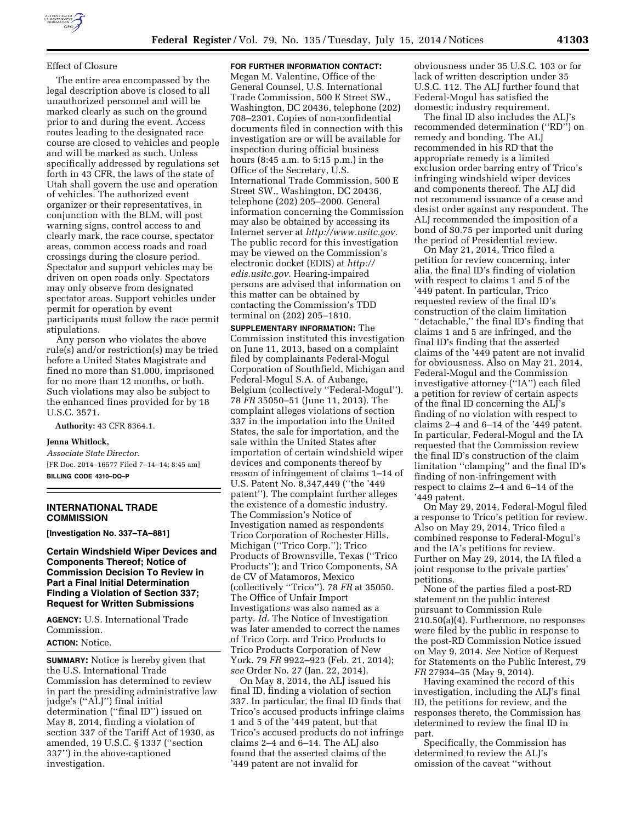## Effect of Closure

The entire area encompassed by the legal description above is closed to all unauthorized personnel and will be marked clearly as such on the ground prior to and during the event. Access routes leading to the designated race course are closed to vehicles and people and will be marked as such. Unless specifically addressed by regulations set forth in 43 CFR, the laws of the state of Utah shall govern the use and operation of vehicles. The authorized event organizer or their representatives, in conjunction with the BLM, will post warning signs, control access to and clearly mark, the race course, spectator areas, common access roads and road crossings during the closure period. Spectator and support vehicles may be driven on open roads only. Spectators may only observe from designated spectator areas. Support vehicles under permit for operation by event participants must follow the race permit stipulations.

Any person who violates the above rule(s) and/or restriction(s) may be tried before a United States Magistrate and fined no more than \$1,000, imprisoned for no more than 12 months, or both. Such violations may also be subject to the enhanced fines provided for by 18 U.S.C. 3571.

**Authority:** 43 CFR 8364.1.

### **Jenna Whitlock,**

*Associate State Director.*  [FR Doc. 2014–16577 Filed 7–14–14; 8:45 am] **BILLING CODE 4310–DQ–P** 

# **INTERNATIONAL TRADE COMMISSION**

**[Investigation No. 337–TA–881]** 

**Certain Windshield Wiper Devices and Components Thereof; Notice of Commission Decision To Review in Part a Final Initial Determination Finding a Violation of Section 337; Request for Written Submissions** 

**AGENCY:** U.S. International Trade Commission. **ACTION:** Notice.

**SUMMARY:** Notice is hereby given that the U.S. International Trade Commission has determined to review in part the presiding administrative law judge's (''ALJ'') final initial determination (''final ID'') issued on May 8, 2014, finding a violation of section 337 of the Tariff Act of 1930, as amended, 19 U.S.C. § 1337 (''section 337'') in the above-captioned investigation.

### **FOR FURTHER INFORMATION CONTACT:**

Megan M. Valentine, Office of the General Counsel, U.S. International Trade Commission, 500 E Street SW., Washington, DC 20436, telephone (202) 708–2301. Copies of non-confidential documents filed in connection with this investigation are or will be available for inspection during official business hours (8:45 a.m. to 5:15 p.m.) in the Office of the Secretary, U.S. International Trade Commission, 500 E Street SW., Washington, DC 20436, telephone (202) 205–2000. General information concerning the Commission may also be obtained by accessing its Internet server at *[http://www.usitc.gov.](http://www.usitc.gov)*  The public record for this investigation may be viewed on the Commission's electronic docket (EDIS) at *[http://](http://edis.usitc.gov) [edis.usitc.gov.](http://edis.usitc.gov)* Hearing-impaired persons are advised that information on this matter can be obtained by contacting the Commission's TDD terminal on (202) 205–1810.

**SUPPLEMENTARY INFORMATION:** The Commission instituted this investigation on June 11, 2013, based on a complaint filed by complainants Federal-Mogul Corporation of Southfield, Michigan and Federal-Mogul S.A. of Aubange, Belgium (collectively ''Federal-Mogul''). 78 *FR* 35050–51 (June 11, 2013). The complaint alleges violations of section 337 in the importation into the United States, the sale for importation, and the sale within the United States after importation of certain windshield wiper devices and components thereof by reason of infringement of claims 1–14 of U.S. Patent No. 8,347,449 (''the '449 patent''). The complaint further alleges the existence of a domestic industry. The Commission's Notice of Investigation named as respondents Trico Corporation of Rochester Hills, Michigan (''Trico Corp.''); Trico Products of Brownsville, Texas (''Trico Products''); and Trico Components, SA de CV of Matamoros, Mexico (collectively ''Trico''). 78 *FR* at 35050. The Office of Unfair Import Investigations was also named as a party. *Id.* The Notice of Investigation was later amended to correct the names of Trico Corp. and Trico Products to Trico Products Corporation of New York. 79 *FR* 9922–923 (Feb. 21, 2014); *see* Order No. 27 (Jan. 22, 2014).

On May 8, 2014, the ALJ issued his final ID, finding a violation of section 337. In particular, the final ID finds that Trico's accused products infringe claims 1 and 5 of the '449 patent, but that Trico's accused products do not infringe claims 2–4 and 6–14. The ALJ also found that the asserted claims of the '449 patent are not invalid for

obviousness under 35 U.S.C. 103 or for lack of written description under 35 U.S.C. 112. The ALJ further found that Federal-Mogul has satisfied the domestic industry requirement.

The final ID also includes the ALJ's recommended determination (''RD'') on remedy and bonding. The ALJ recommended in his RD that the appropriate remedy is a limited exclusion order barring entry of Trico's infringing windshield wiper devices and components thereof. The ALJ did not recommend issuance of a cease and desist order against any respondent. The ALJ recommended the imposition of a bond of \$0.75 per imported unit during the period of Presidential review.

On May 21, 2014, Trico filed a petition for review concerning, inter alia, the final ID's finding of violation with respect to claims 1 and 5 of the '449 patent. In particular, Trico requested review of the final ID's construction of the claim limitation ''detachable,'' the final ID's finding that claims 1 and 5 are infringed, and the final ID's finding that the asserted claims of the '449 patent are not invalid for obviousness. Also on May 21, 2014, Federal-Mogul and the Commission investigative attorney (''IA'') each filed a petition for review of certain aspects of the final ID concerning the ALJ's finding of no violation with respect to claims 2–4 and 6–14 of the '449 patent. In particular, Federal-Mogul and the IA requested that the Commission review the final ID's construction of the claim limitation ''clamping'' and the final ID's finding of non-infringement with respect to claims 2–4 and 6–14 of the '449 patent.

On May 29, 2014, Federal-Mogul filed a response to Trico's petition for review. Also on May 29, 2014, Trico filed a combined response to Federal-Mogul's and the IA's petitions for review. Further on May 29, 2014, the IA filed a joint response to the private parties' petitions.

None of the parties filed a post-RD statement on the public interest pursuant to Commission Rule 210.50(a)(4). Furthermore, no responses were filed by the public in response to the post-RD Commission Notice issued on May 9, 2014. *See* Notice of Request for Statements on the Public Interest, 79 *FR* 27934–35 (May 9, 2014).

Having examined the record of this investigation, including the ALJ's final ID, the petitions for review, and the responses thereto, the Commission has determined to review the final ID in part.

Specifically, the Commission has determined to review the ALJ's omission of the caveat ''without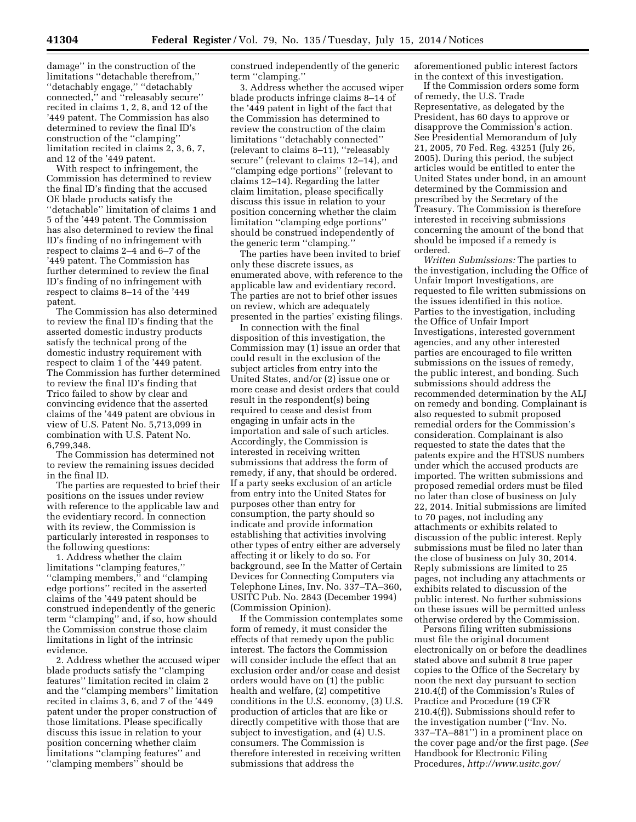damage'' in the construction of the limitations ''detachable therefrom,'' ''detachably engage,'' ''detachably connected,'' and ''releasably secure'' recited in claims 1, 2, 8, and 12 of the '449 patent. The Commission has also determined to review the final ID's construction of the ''clamping'' limitation recited in claims 2, 3, 6, 7, and 12 of the '449 patent.

With respect to infringement, the Commission has determined to review the final ID's finding that the accused OE blade products satisfy the ''detachable'' limitation of claims 1 and 5 of the '449 patent. The Commission has also determined to review the final ID's finding of no infringement with respect to claims 2–4 and 6–7 of the '449 patent. The Commission has further determined to review the final ID's finding of no infringement with respect to claims 8–14 of the '449 patent.

The Commission has also determined to review the final ID's finding that the asserted domestic industry products satisfy the technical prong of the domestic industry requirement with respect to claim 1 of the '449 patent. The Commission has further determined to review the final ID's finding that Trico failed to show by clear and convincing evidence that the asserted claims of the '449 patent are obvious in view of U.S. Patent No. 5,713,099 in combination with U.S. Patent No. 6,799,348.

The Commission has determined not to review the remaining issues decided in the final ID.

The parties are requested to brief their positions on the issues under review with reference to the applicable law and the evidentiary record. In connection with its review, the Commission is particularly interested in responses to the following questions:

1. Address whether the claim limitations ''clamping features,'' ''clamping members,'' and ''clamping edge portions'' recited in the asserted claims of the '449 patent should be construed independently of the generic term ''clamping'' and, if so, how should the Commission construe those claim limitations in light of the intrinsic evidence.

2. Address whether the accused wiper blade products satisfy the ''clamping features'' limitation recited in claim 2 and the ''clamping members'' limitation recited in claims 3, 6, and 7 of the '449 patent under the proper construction of those limitations. Please specifically discuss this issue in relation to your position concerning whether claim limitations ''clamping features'' and ''clamping members'' should be

construed independently of the generic term ''clamping.''

3. Address whether the accused wiper blade products infringe claims 8–14 of the '449 patent in light of the fact that the Commission has determined to review the construction of the claim limitations ''detachably connected'' (relevant to claims 8–11), ''releasably secure'' (relevant to claims 12–14), and ''clamping edge portions'' (relevant to claims 12–14). Regarding the latter claim limitation, please specifically discuss this issue in relation to your position concerning whether the claim limitation ''clamping edge portions'' should be construed independently of the generic term ''clamping.''

The parties have been invited to brief only these discrete issues, as enumerated above, with reference to the applicable law and evidentiary record. The parties are not to brief other issues on review, which are adequately presented in the parties' existing filings.

In connection with the final disposition of this investigation, the Commission may (1) issue an order that could result in the exclusion of the subject articles from entry into the United States, and/or (2) issue one or more cease and desist orders that could result in the respondent(s) being required to cease and desist from engaging in unfair acts in the importation and sale of such articles. Accordingly, the Commission is interested in receiving written submissions that address the form of remedy, if any, that should be ordered. If a party seeks exclusion of an article from entry into the United States for purposes other than entry for consumption, the party should so indicate and provide information establishing that activities involving other types of entry either are adversely affecting it or likely to do so. For background, see In the Matter of Certain Devices for Connecting Computers via Telephone Lines, Inv. No. 337–TA–360, USITC Pub. No. 2843 (December 1994) (Commission Opinion).

If the Commission contemplates some form of remedy, it must consider the effects of that remedy upon the public interest. The factors the Commission will consider include the effect that an exclusion order and/or cease and desist orders would have on (1) the public health and welfare, (2) competitive conditions in the U.S. economy, (3) U.S. production of articles that are like or directly competitive with those that are subject to investigation, and (4) U.S. consumers. The Commission is therefore interested in receiving written submissions that address the

aforementioned public interest factors in the context of this investigation.

If the Commission orders some form of remedy, the U.S. Trade Representative, as delegated by the President, has 60 days to approve or disapprove the Commission's action. See Presidential Memorandum of July 21, 2005, 70 Fed. Reg. 43251 (July 26, 2005). During this period, the subject articles would be entitled to enter the United States under bond, in an amount determined by the Commission and prescribed by the Secretary of the Treasury. The Commission is therefore interested in receiving submissions concerning the amount of the bond that should be imposed if a remedy is ordered.

*Written Submissions:* The parties to the investigation, including the Office of Unfair Import Investigations, are requested to file written submissions on the issues identified in this notice. Parties to the investigation, including the Office of Unfair Import Investigations, interested government agencies, and any other interested parties are encouraged to file written submissions on the issues of remedy, the public interest, and bonding. Such submissions should address the recommended determination by the ALJ on remedy and bonding. Complainant is also requested to submit proposed remedial orders for the Commission's consideration. Complainant is also requested to state the dates that the patents expire and the HTSUS numbers under which the accused products are imported. The written submissions and proposed remedial orders must be filed no later than close of business on July 22, 2014. Initial submissions are limited to 70 pages, not including any attachments or exhibits related to discussion of the public interest. Reply submissions must be filed no later than the close of business on July 30, 2014. Reply submissions are limited to 25 pages, not including any attachments or exhibits related to discussion of the public interest. No further submissions on these issues will be permitted unless otherwise ordered by the Commission.

Persons filing written submissions must file the original document electronically on or before the deadlines stated above and submit 8 true paper copies to the Office of the Secretary by noon the next day pursuant to section 210.4(f) of the Commission's Rules of Practice and Procedure (19 CFR 210.4(f)). Submissions should refer to the investigation number (''Inv. No. 337–TA–881'') in a prominent place on the cover page and/or the first page. (*See*  Handbook for Electronic Filing Procedures, *[http://www.usitc.gov/](http://www.usitc.gov/secretary/fed_reg_notices/rules/handbook_on_electronic_filing.pdf)*